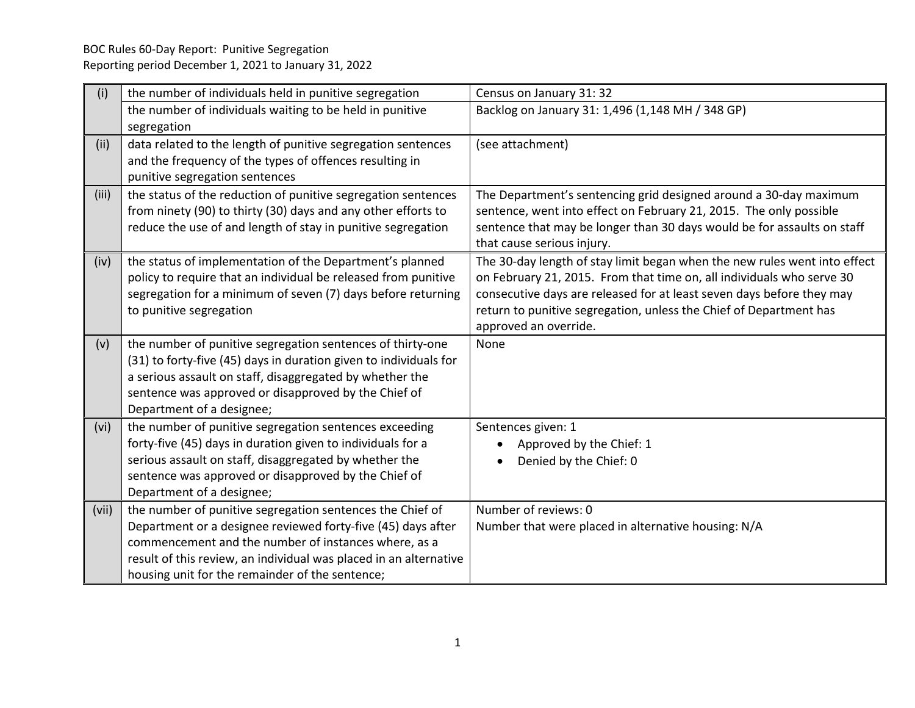| (i)   | the number of individuals held in punitive segregation                                                                     | Census on January 31: 32                                                                                                                           |
|-------|----------------------------------------------------------------------------------------------------------------------------|----------------------------------------------------------------------------------------------------------------------------------------------------|
|       | the number of individuals waiting to be held in punitive                                                                   | Backlog on January 31: 1,496 (1,148 MH / 348 GP)                                                                                                   |
|       | segregation                                                                                                                |                                                                                                                                                    |
| (ii)  | data related to the length of punitive segregation sentences                                                               | (see attachment)                                                                                                                                   |
|       | and the frequency of the types of offences resulting in                                                                    |                                                                                                                                                    |
|       | punitive segregation sentences                                                                                             |                                                                                                                                                    |
| (iii) | the status of the reduction of punitive segregation sentences                                                              | The Department's sentencing grid designed around a 30-day maximum                                                                                  |
|       | from ninety (90) to thirty (30) days and any other efforts to                                                              | sentence, went into effect on February 21, 2015. The only possible                                                                                 |
|       | reduce the use of and length of stay in punitive segregation                                                               | sentence that may be longer than 30 days would be for assaults on staff                                                                            |
|       |                                                                                                                            | that cause serious injury.                                                                                                                         |
| (iv)  | the status of implementation of the Department's planned<br>policy to require that an individual be released from punitive | The 30-day length of stay limit began when the new rules went into effect<br>on February 21, 2015. From that time on, all individuals who serve 30 |
|       | segregation for a minimum of seven (7) days before returning                                                               | consecutive days are released for at least seven days before they may                                                                              |
|       | to punitive segregation                                                                                                    | return to punitive segregation, unless the Chief of Department has                                                                                 |
|       |                                                                                                                            | approved an override.                                                                                                                              |
| (v)   | the number of punitive segregation sentences of thirty-one                                                                 | None                                                                                                                                               |
|       | (31) to forty-five (45) days in duration given to individuals for                                                          |                                                                                                                                                    |
|       | a serious assault on staff, disaggregated by whether the                                                                   |                                                                                                                                                    |
|       | sentence was approved or disapproved by the Chief of                                                                       |                                                                                                                                                    |
|       | Department of a designee;                                                                                                  |                                                                                                                                                    |
| (vi)  | the number of punitive segregation sentences exceeding                                                                     | Sentences given: 1                                                                                                                                 |
|       | forty-five (45) days in duration given to individuals for a                                                                | Approved by the Chief: 1                                                                                                                           |
|       | serious assault on staff, disaggregated by whether the                                                                     | Denied by the Chief: 0                                                                                                                             |
|       | sentence was approved or disapproved by the Chief of                                                                       |                                                                                                                                                    |
|       | Department of a designee;                                                                                                  |                                                                                                                                                    |
| (vii) | the number of punitive segregation sentences the Chief of                                                                  | Number of reviews: 0                                                                                                                               |
|       | Department or a designee reviewed forty-five (45) days after<br>commencement and the number of instances where, as a       | Number that were placed in alternative housing: N/A                                                                                                |
|       | result of this review, an individual was placed in an alternative                                                          |                                                                                                                                                    |
|       | housing unit for the remainder of the sentence;                                                                            |                                                                                                                                                    |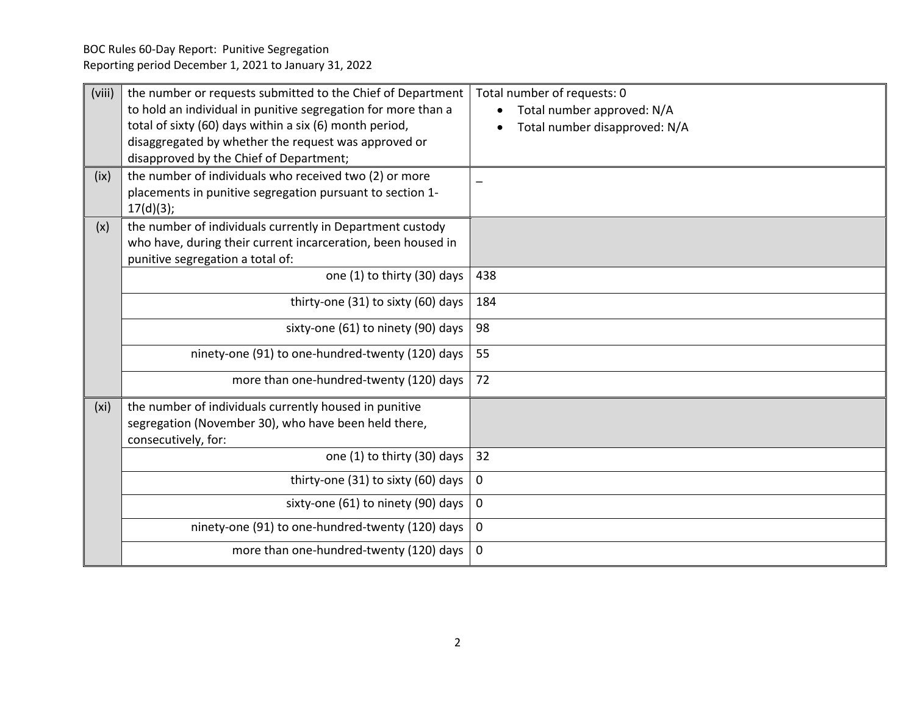| (viii)            | the number or requests submitted to the Chief of Department<br>to hold an individual in punitive segregation for more than a<br>total of sixty (60) days within a six (6) month period,<br>disaggregated by whether the request was approved or<br>disapproved by the Chief of Department; | Total number of requests: 0<br>Total number approved: N/A<br>Total number disapproved: N/A |
|-------------------|--------------------------------------------------------------------------------------------------------------------------------------------------------------------------------------------------------------------------------------------------------------------------------------------|--------------------------------------------------------------------------------------------|
| (ix)              | the number of individuals who received two (2) or more<br>placements in punitive segregation pursuant to section 1-<br>17(d)(3);                                                                                                                                                           |                                                                                            |
| (x)               | the number of individuals currently in Department custody<br>who have, during their current incarceration, been housed in<br>punitive segregation a total of:                                                                                                                              |                                                                                            |
|                   | one (1) to thirty (30) days                                                                                                                                                                                                                                                                | 438                                                                                        |
|                   | thirty-one (31) to sixty (60) days                                                                                                                                                                                                                                                         | 184                                                                                        |
|                   | sixty-one (61) to ninety (90) days                                                                                                                                                                                                                                                         | 98                                                                                         |
|                   | ninety-one (91) to one-hundred-twenty (120) days                                                                                                                                                                                                                                           | 55                                                                                         |
|                   | more than one-hundred-twenty (120) days                                                                                                                                                                                                                                                    | 72                                                                                         |
| (x <sub>i</sub> ) | the number of individuals currently housed in punitive<br>segregation (November 30), who have been held there,<br>consecutively, for:                                                                                                                                                      |                                                                                            |
|                   | one (1) to thirty (30) days                                                                                                                                                                                                                                                                | 32                                                                                         |
|                   | thirty-one (31) to sixty (60) days                                                                                                                                                                                                                                                         | 0                                                                                          |
|                   | sixty-one (61) to ninety (90) days                                                                                                                                                                                                                                                         | 0                                                                                          |
|                   | ninety-one (91) to one-hundred-twenty (120) days                                                                                                                                                                                                                                           | $\mathbf{0}$                                                                               |
|                   | more than one-hundred-twenty (120) days                                                                                                                                                                                                                                                    | 0                                                                                          |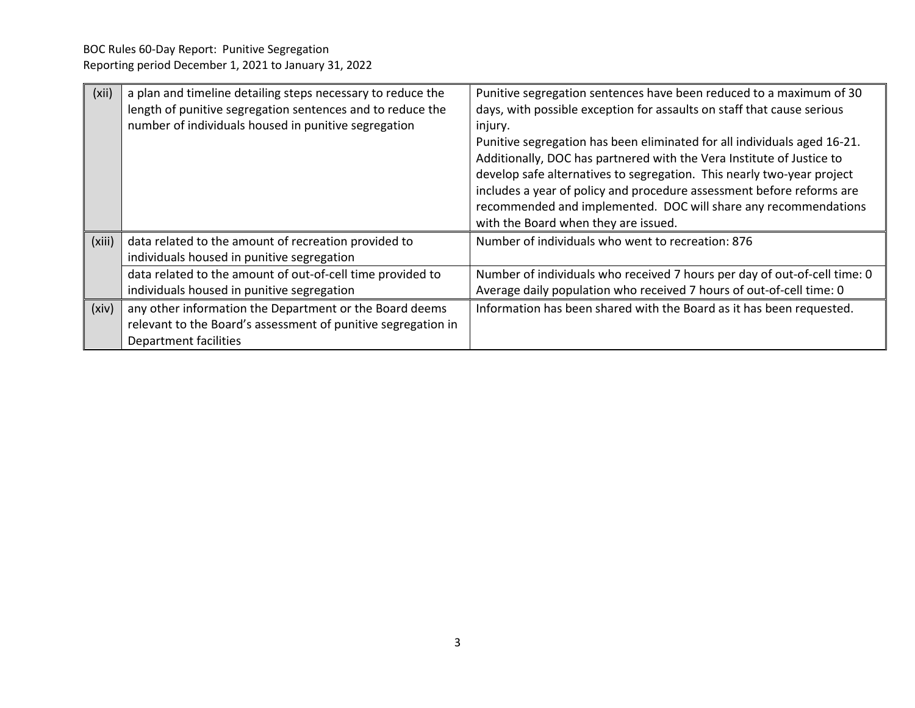| (xii)  | a plan and timeline detailing steps necessary to reduce the<br>length of punitive segregation sentences and to reduce the                         | Punitive segregation sentences have been reduced to a maximum of 30<br>days, with possible exception for assaults on staff that cause serious                                                                                                                                                                                                                                                                              |
|--------|---------------------------------------------------------------------------------------------------------------------------------------------------|----------------------------------------------------------------------------------------------------------------------------------------------------------------------------------------------------------------------------------------------------------------------------------------------------------------------------------------------------------------------------------------------------------------------------|
|        | number of individuals housed in punitive segregation                                                                                              | injury.<br>Punitive segregation has been eliminated for all individuals aged 16-21.<br>Additionally, DOC has partnered with the Vera Institute of Justice to<br>develop safe alternatives to segregation. This nearly two-year project<br>includes a year of policy and procedure assessment before reforms are<br>recommended and implemented. DOC will share any recommendations<br>with the Board when they are issued. |
| (xiii) | data related to the amount of recreation provided to<br>individuals housed in punitive segregation                                                | Number of individuals who went to recreation: 876                                                                                                                                                                                                                                                                                                                                                                          |
|        | data related to the amount of out-of-cell time provided to<br>individuals housed in punitive segregation                                          | Number of individuals who received 7 hours per day of out-of-cell time: 0<br>Average daily population who received 7 hours of out-of-cell time: 0                                                                                                                                                                                                                                                                          |
| (xiv)  | any other information the Department or the Board deems<br>relevant to the Board's assessment of punitive segregation in<br>Department facilities | Information has been shared with the Board as it has been requested.                                                                                                                                                                                                                                                                                                                                                       |